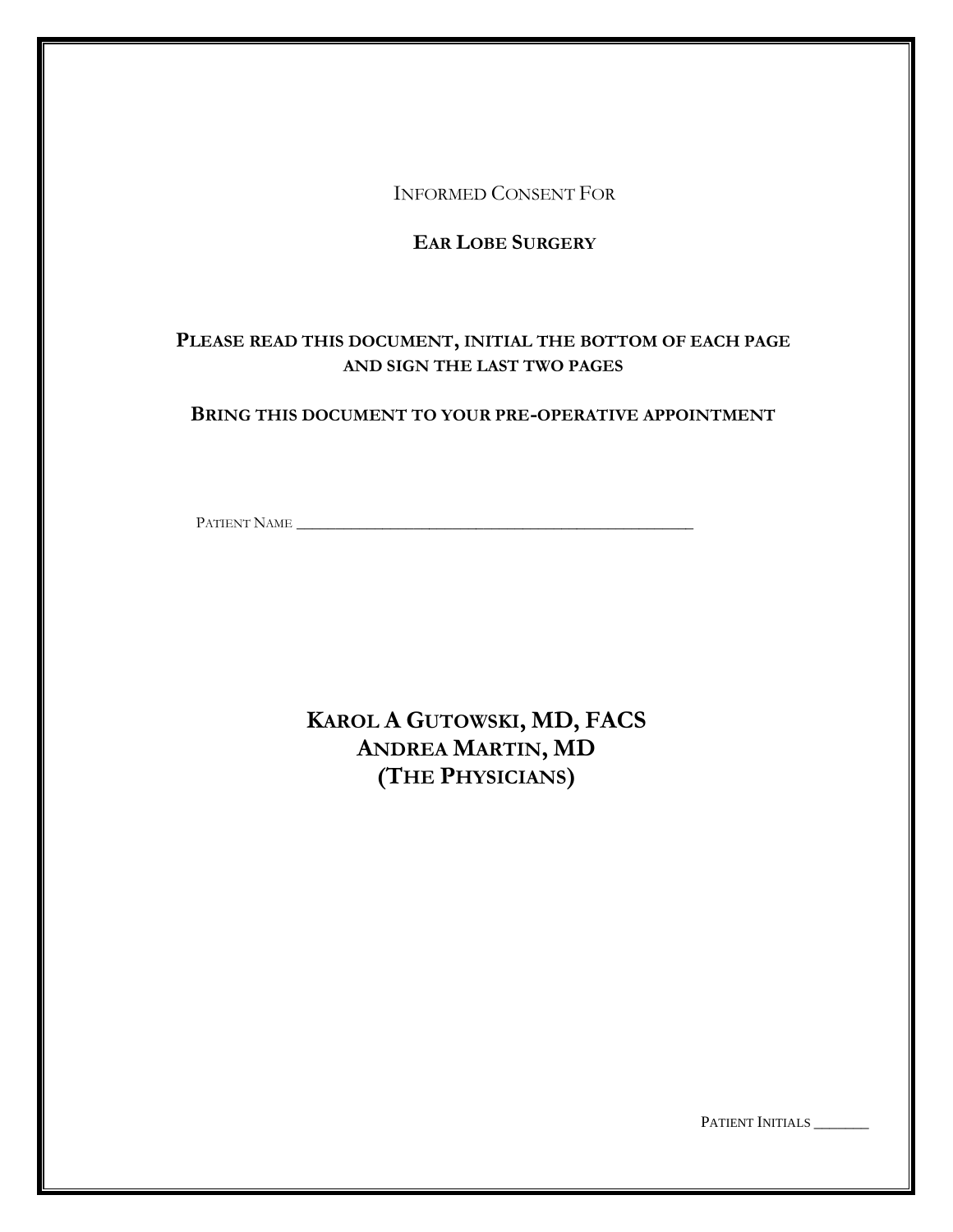INFORMED CONSENT FOR

# **EAR LOBE SURGERY**

# **PLEASE READ THIS DOCUMENT, INITIAL THE BOTTOM OF EACH PAGE AND SIGN THE LAST TWO PAGES**

## **BRING THIS DOCUMENT TO YOUR PRE-OPERATIVE APPOINTMENT**

PATIENT NAME \_\_\_\_\_\_\_\_\_\_\_\_\_\_\_\_\_\_\_\_\_\_\_\_\_\_\_\_\_\_\_\_\_\_\_\_\_\_\_\_\_\_\_\_\_\_\_\_\_\_\_

**KAROL A GUTOWSKI, MD, FACS ANDREA MARTIN, MD (THE PHYSICIANS)**

PATIENT INITIALS \_\_\_\_\_\_\_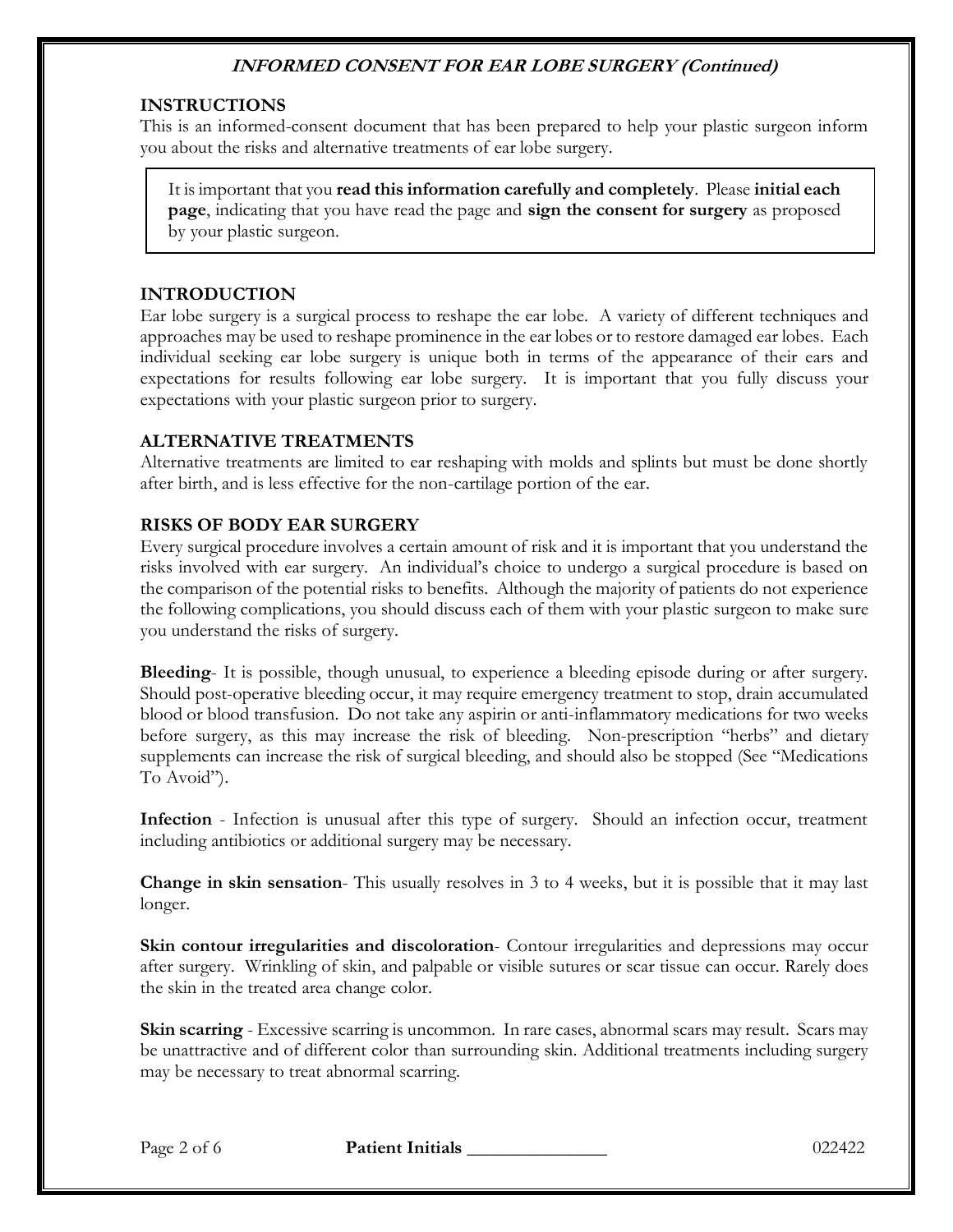## **INSTRUCTIONS**

This is an informed-consent document that has been prepared to help your plastic surgeon inform you about the risks and alternative treatments of ear lobe surgery.

It is important that you **read this information carefully and completely**. Please **initial each page**, indicating that you have read the page and **sign the consent for surgery** as proposed by your plastic surgeon.

### **INTRODUCTION**

Ear lobe surgery is a surgical process to reshape the ear lobe. A variety of different techniques and approaches may be used to reshape prominence in the ear lobes or to restore damaged ear lobes. Each individual seeking ear lobe surgery is unique both in terms of the appearance of their ears and expectations for results following ear lobe surgery. It is important that you fully discuss your expectations with your plastic surgeon prior to surgery.

## **ALTERNATIVE TREATMENTS**

Alternative treatments are limited to ear reshaping with molds and splints but must be done shortly after birth, and is less effective for the non-cartilage portion of the ear.

## **RISKS OF BODY EAR SURGERY**

Every surgical procedure involves a certain amount of risk and it is important that you understand the risks involved with ear surgery. An individual's choice to undergo a surgical procedure is based on the comparison of the potential risks to benefits. Although the majority of patients do not experience the following complications, you should discuss each of them with your plastic surgeon to make sure you understand the risks of surgery.

**Bleeding**- It is possible, though unusual, to experience a bleeding episode during or after surgery. Should post-operative bleeding occur, it may require emergency treatment to stop, drain accumulated blood or blood transfusion. Do not take any aspirin or anti-inflammatory medications for two weeks before surgery, as this may increase the risk of bleeding. Non-prescription "herbs" and dietary supplements can increase the risk of surgical bleeding, and should also be stopped (See "Medications To Avoid").

**Infection** - Infection is unusual after this type of surgery. Should an infection occur, treatment including antibiotics or additional surgery may be necessary.

**Change in skin sensation**- This usually resolves in 3 to 4 weeks, but it is possible that it may last longer.

**Skin contour irregularities and discoloration**- Contour irregularities and depressions may occur after surgery. Wrinkling of skin, and palpable or visible sutures or scar tissue can occur. Rarely does the skin in the treated area change color.

**Skin scarring** - Excessive scarring is uncommon. In rare cases, abnormal scars may result. Scars may be unattractive and of different color than surrounding skin. Additional treatments including surgery may be necessary to treat abnormal scarring.

Page 2 of 6 **Patient Initials 1996 Page 2 of 6** 022422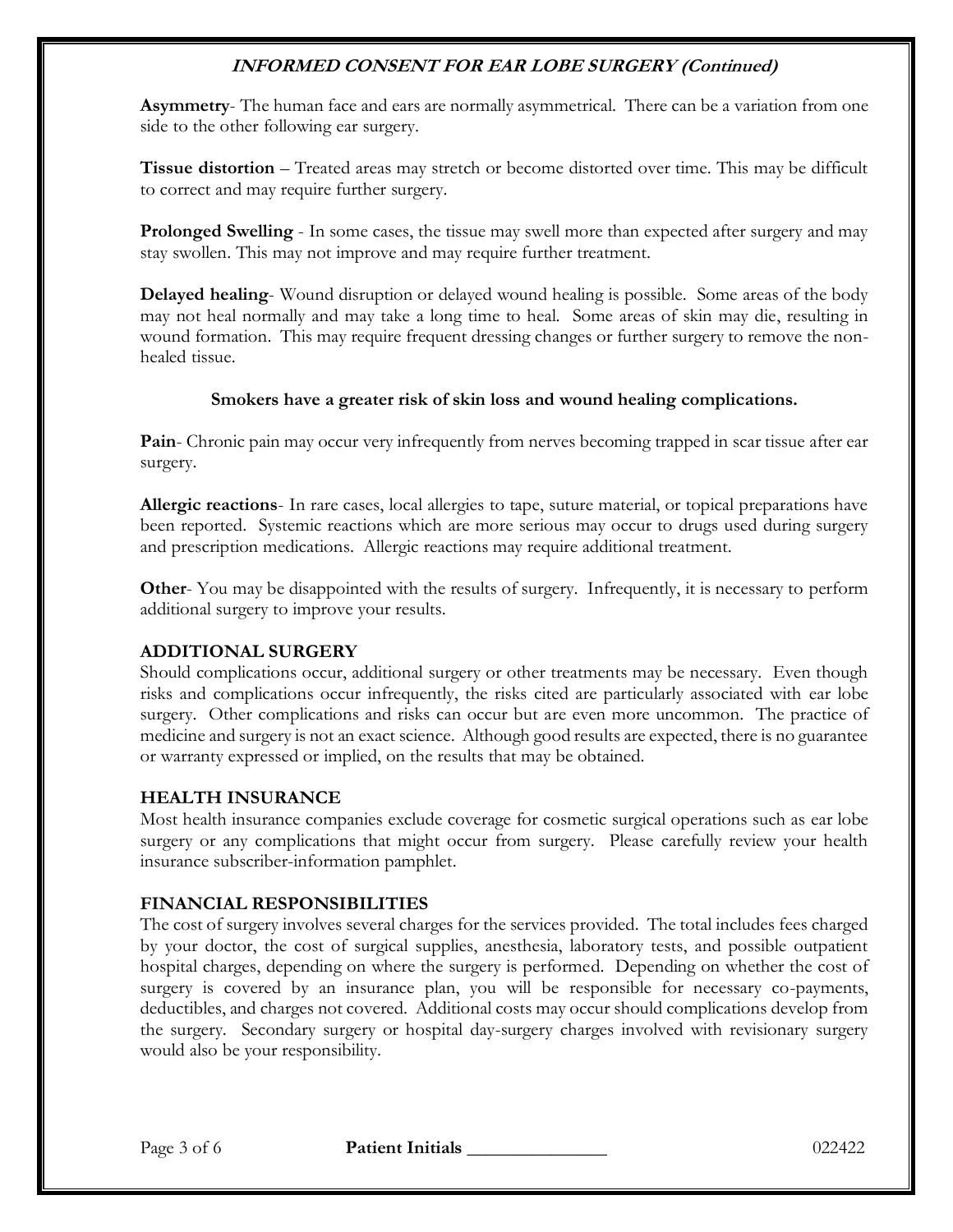**Asymmetry**- The human face and ears are normally asymmetrical. There can be a variation from one side to the other following ear surgery.

**Tissue distortion** – Treated areas may stretch or become distorted over time. This may be difficult to correct and may require further surgery.

**Prolonged Swelling** - In some cases, the tissue may swell more than expected after surgery and may stay swollen. This may not improve and may require further treatment.

**Delayed healing**- Wound disruption or delayed wound healing is possible. Some areas of the body may not heal normally and may take a long time to heal. Some areas of skin may die, resulting in wound formation. This may require frequent dressing changes or further surgery to remove the nonhealed tissue.

### **Smokers have a greater risk of skin loss and wound healing complications.**

**Pain**- Chronic pain may occur very infrequently from nerves becoming trapped in scar tissue after ear surgery.

**Allergic reactions**- In rare cases, local allergies to tape, suture material, or topical preparations have been reported. Systemic reactions which are more serious may occur to drugs used during surgery and prescription medications. Allergic reactions may require additional treatment.

**Other-** You may be disappointed with the results of surgery. Infrequently, it is necessary to perform additional surgery to improve your results.

### **ADDITIONAL SURGERY**

Should complications occur, additional surgery or other treatments may be necessary. Even though risks and complications occur infrequently, the risks cited are particularly associated with ear lobe surgery. Other complications and risks can occur but are even more uncommon. The practice of medicine and surgery is not an exact science. Although good results are expected, there is no guarantee or warranty expressed or implied, on the results that may be obtained.

### **HEALTH INSURANCE**

Most health insurance companies exclude coverage for cosmetic surgical operations such as ear lobe surgery or any complications that might occur from surgery. Please carefully review your health insurance subscriber-information pamphlet.

### **FINANCIAL RESPONSIBILITIES**

The cost of surgery involves several charges for the services provided. The total includes fees charged by your doctor, the cost of surgical supplies, anesthesia, laboratory tests, and possible outpatient hospital charges, depending on where the surgery is performed. Depending on whether the cost of surgery is covered by an insurance plan, you will be responsible for necessary co-payments, deductibles, and charges not covered. Additional costs may occur should complications develop from the surgery. Secondary surgery or hospital day-surgery charges involved with revisionary surgery would also be your responsibility.

Page 3 of 6 **Patient Initials 1996 Page 3 of 6** 022422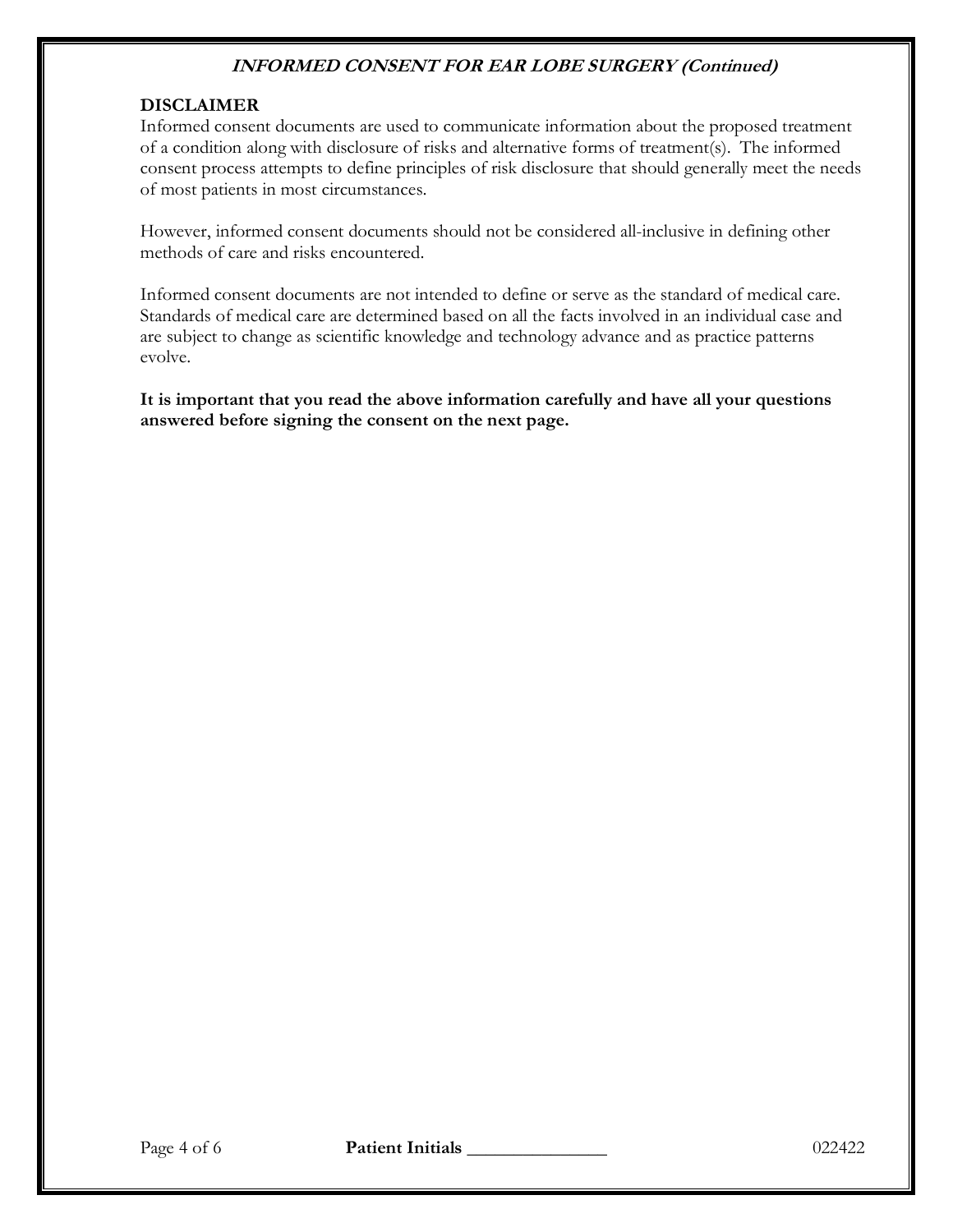### **DISCLAIMER**

Informed consent documents are used to communicate information about the proposed treatment of a condition along with disclosure of risks and alternative forms of treatment(s). The informed consent process attempts to define principles of risk disclosure that should generally meet the needs of most patients in most circumstances.

However, informed consent documents should not be considered all-inclusive in defining other methods of care and risks encountered.

Informed consent documents are not intended to define or serve as the standard of medical care. Standards of medical care are determined based on all the facts involved in an individual case and are subject to change as scientific knowledge and technology advance and as practice patterns evolve.

**It is important that you read the above information carefully and have all your questions answered before signing the consent on the next page.**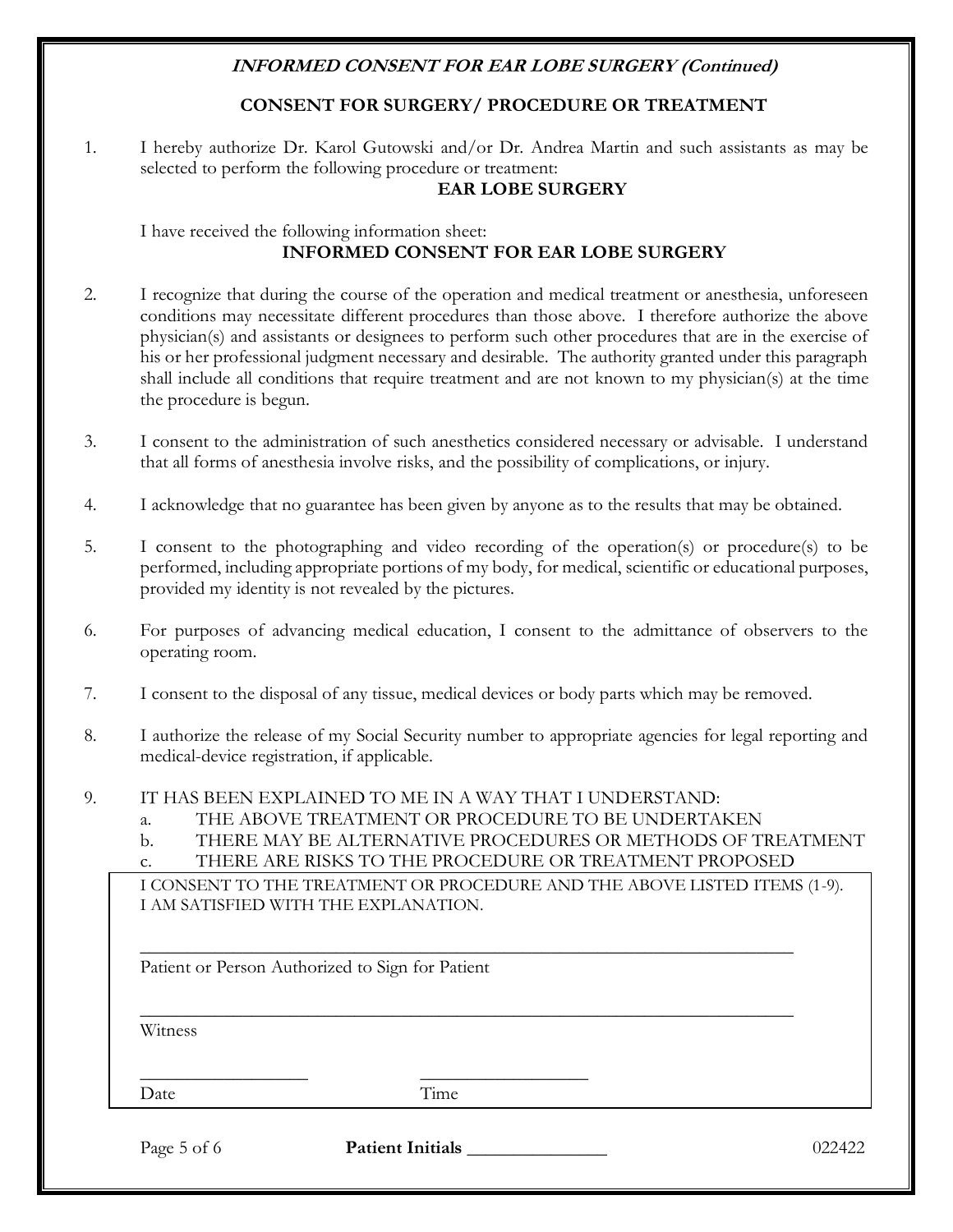## **CONSENT FOR SURGERY/ PROCEDURE OR TREATMENT**

1. I hereby authorize Dr. Karol Gutowski and/or Dr. Andrea Martin and such assistants as may be selected to perform the following procedure or treatment:

#### **EAR LOBE SURGERY**

I have received the following information sheet: **INFORMED CONSENT FOR EAR LOBE SURGERY**

- 2. I recognize that during the course of the operation and medical treatment or anesthesia, unforeseen conditions may necessitate different procedures than those above. I therefore authorize the above physician(s) and assistants or designees to perform such other procedures that are in the exercise of his or her professional judgment necessary and desirable. The authority granted under this paragraph shall include all conditions that require treatment and are not known to my physician(s) at the time the procedure is begun.
- 3. I consent to the administration of such anesthetics considered necessary or advisable. I understand that all forms of anesthesia involve risks, and the possibility of complications, or injury.
- 4. I acknowledge that no guarantee has been given by anyone as to the results that may be obtained.
- 5. I consent to the photographing and video recording of the operation(s) or procedure(s) to be performed, including appropriate portions of my body, for medical, scientific or educational purposes, provided my identity is not revealed by the pictures.
- 6. For purposes of advancing medical education, I consent to the admittance of observers to the operating room.
- 7. I consent to the disposal of any tissue, medical devices or body parts which may be removed.
- 8. I authorize the release of my Social Security number to appropriate agencies for legal reporting and medical-device registration, if applicable.
- 9. IT HAS BEEN EXPLAINED TO ME IN A WAY THAT I UNDERSTAND:
	- a. THE ABOVE TREATMENT OR PROCEDURE TO BE UNDERTAKEN
	- b. THERE MAY BE ALTERNATIVE PROCEDURES OR METHODS OF TREATMENT
	- c. THERE ARE RISKS TO THE PROCEDURE OR TREATMENT PROPOSED

\_\_\_\_\_\_\_\_\_\_\_\_\_\_\_\_\_\_\_\_\_\_\_\_\_\_\_\_\_\_\_\_\_\_\_\_\_\_\_\_\_\_\_\_\_\_\_\_\_\_\_\_\_\_\_\_\_\_\_\_\_\_\_\_\_\_\_\_\_\_

\_\_\_\_\_\_\_\_\_\_\_\_\_\_\_\_\_\_\_\_\_\_\_\_\_\_\_\_\_\_\_\_\_\_\_\_\_\_\_\_\_\_\_\_\_\_\_\_\_\_\_\_\_\_\_\_\_\_\_\_\_\_\_\_\_\_\_\_\_\_

I CONSENT TO THE TREATMENT OR PROCEDURE AND THE ABOVE LISTED ITEMS (1-9). I AM SATISFIED WITH THE EXPLANATION.

Patient or Person Authorized to Sign for Patient

\_\_\_\_\_\_\_\_\_\_\_\_\_\_\_\_\_\_ \_\_\_\_\_\_\_\_\_\_\_\_\_\_\_\_\_\_

Witness

Date Time

Page 5 of 6 **Patient Initials** 1022422